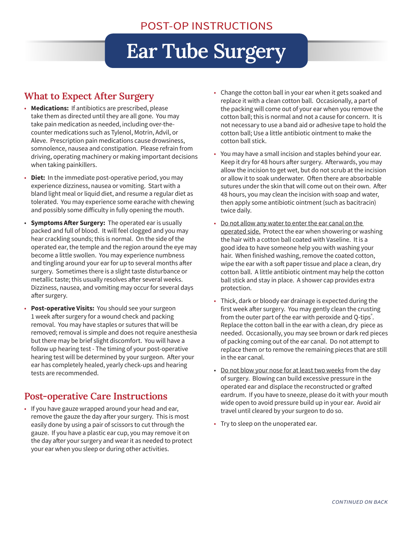## **Ear Tube Surgery**

## **What to Expect After Surgery**

- **Medications:** If antibiotics are prescribed, please take them as directed until they are all gone. You may take pain medication as needed, including over-thecounter medications such as Tylenol, Motrin, Advil, or Aleve. Prescription pain medications cause drowsiness, somnolence, nausea and constipation. Please refrain from driving, operating machinery or making important decisions when taking painkillers.
- **Diet:** In the immediate post-operative period, you may experience dizziness, nausea or vomiting. Start with a bland light meal or liquid diet, and resume a regular diet as tolerated. You may experience some earache with chewing and possibly some difficulty in fully opening the mouth.
- **Symptoms After Surgery:** The operated ear is usually packed and full of blood. It will feel clogged and you may hear crackling sounds; this is normal. On the side of the operated ear, the temple and the region around the eye may become a little swollen. You may experience numbness and tingling around your ear for up to several months after surgery. Sometimes there is a slight taste disturbance or metallic taste; this usually resolves after several weeks. Dizziness, nausea, and vomiting may occur for several days after surgery.
- **Post-operative Visits:** You should see your surgeon 1 week after surgery for a wound check and packing removal. You may have staples or sutures that will be removed; removal is simple and does not require anesthesia but there may be brief slight discomfort. You will have a follow up hearing test - The timing of your post-operative hearing test will be determined by your surgeon. After your ear has completely healed, yearly check-ups and hearing tests are recommended.

## **Post-operative Care Instructions**

• If you have gauze wrapped around your head and ear, remove the gauze the day after your surgery. This is most easily done by using a pair of scissors to cut through the gauze. If you have a plastic ear cup, you may remove it on the day after your surgery and wear it as needed to protect your ear when you sleep or during other activities.

- Change the cotton ball in your ear when it gets soaked and replace it with a clean cotton ball. Occasionally, a part of the packing will come out of your ear when you remove the cotton ball; this is normal and not a cause for concern. It is not necessary to use a band aid or adhesive tape to hold the cotton ball; Use a little antibiotic ointment to make the cotton ball stick.
- You may have a small incision and staples behind your ear. Keep it dry for 48 hours after surgery. Afterwards, you may allow the incision to get wet, but do not scrub at the incision or allow it to soak underwater. Often there are absorbable sutures under the skin that will come out on their own. After 48 hours, you may clean the incision with soap and water, then apply some antibiotic ointment (such as bacitracin) twice daily.
- Do not allow any water to enter the ear canal on the operated side. Protect the ear when showering or washing the hair with a cotton ball coated with Vaseline. It is a good idea to have someone help you with washing your hair. When finished washing, remove the coated cotton, wipe the ear with a soft paper tissue and place a clean, dry cotton ball. A little antibiotic ointment may help the cotton ball stick and stay in place. A shower cap provides extra protection.
- Thick, dark or bloody ear drainage is expected during the first week after surgery. You may gently clean the crusting from the outer part of the ear with peroxide and Q-tips<sup>®</sup>. Replace the cotton ball in the ear with a clean, dry piece as needed. Occasionally, you may see brown or dark red pieces of packing coming out of the ear canal. Do not attempt to replace them or to remove the remaining pieces that are still in the ear canal.
- Do not blow your nose for at least two weeks from the day of surgery. Blowing can build excessive pressure in the operated ear and displace the reconstructed or grafted eardrum. If you have to sneeze, please do it with your mouth wide open to avoid pressure build up in your ear. Avoid air travel until cleared by your surgeon to do so.
- Try to sleep on the unoperated ear.